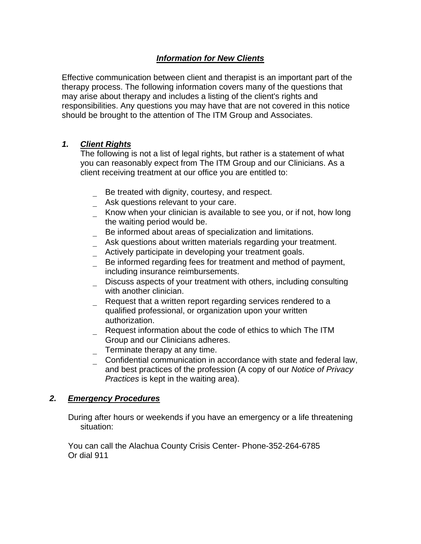# *Information for New Clients*

Effective communication between client and therapist is an important part of the therapy process. The following information covers many of the questions that may arise about therapy and includes a listing of the client's rights and responsibilities. Any questions you may have that are not covered in this notice should be brought to the attention of The ITM Group and Associates.

## *1. Client Rights*

The following is not a list of legal rights, but rather is a statement of what you can reasonably expect from The ITM Group and our Clinicians. As a client receiving treatment at our office you are entitled to:

- Be treated with dignity, courtesy, and respect.
- \_ Ask questions relevant to your care.
- Know when your clinician is available to see you, or if not, how long the waiting period would be.
- Be informed about areas of specialization and limitations.
- Ask questions about written materials regarding your treatment.
- Actively participate in developing your treatment goals.
- Be informed regarding fees for treatment and method of payment, including insurance reimbursements.
- Discuss aspects of your treatment with others, including consulting with another clinician.
- \_ Request that a written report regarding services rendered to a qualified professional, or organization upon your written authorization.
- Request information about the code of ethics to which The ITM Group and our Clinicians adheres.
- \_ Terminate therapy at any time.
- \_ Confidential communication in accordance with state and federal law, and best practices of the profession (A copy of our *Notice of Privacy Practices* is kept in the waiting area).

## *2. Emergency Procedures*

During after hours or weekends if you have an emergency or a life threatening situation:

You can call the Alachua County Crisis Center- Phone-352-264-6785 Or dial 911